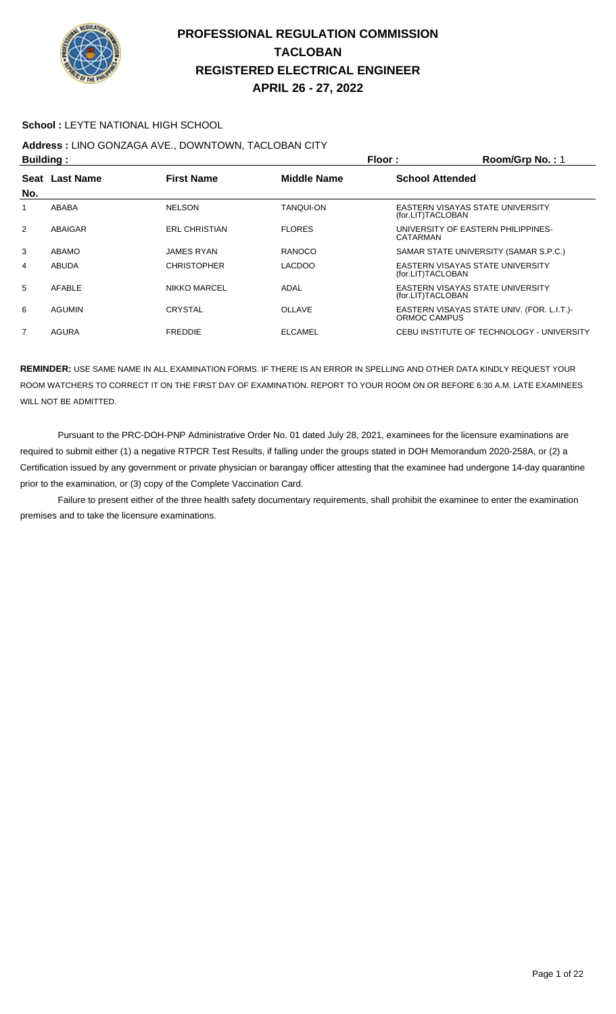

#### **School :** LEYTE NATIONAL HIGH SCHOOL

# **Address :** LINO GONZAGA AVE., DOWNTOWN, TACLOBAN CITY

| <b>Building:</b> |                |                      | Floor:             | Room/Grp No.: 1                                            |
|------------------|----------------|----------------------|--------------------|------------------------------------------------------------|
|                  | Seat Last Name | <b>First Name</b>    | <b>Middle Name</b> | <b>School Attended</b>                                     |
| No.              |                |                      |                    |                                                            |
|                  | ABABA          | <b>NELSON</b>        | <b>TANQUI-ON</b>   | EASTERN VISAYAS STATE UNIVERSITY<br>(for.LIT)TACLOBAN      |
| 2                | ABAIGAR        | <b>ERL CHRISTIAN</b> | <b>FLORES</b>      | UNIVERSITY OF EASTERN PHILIPPINES-<br>CATARMAN             |
| 3                | ABAMO          | <b>JAMES RYAN</b>    | RANOCO             | SAMAR STATE UNIVERSITY (SAMAR S.P.C.)                      |
| 4                | <b>ABUDA</b>   | <b>CHRISTOPHER</b>   | <b>LACDOO</b>      | EASTERN VISAYAS STATE UNIVERSITY<br>(for.LIT)TACLOBAN      |
| 5                | AFABLE         | NIKKO MARCEL         | ADAL               | EASTERN VISAYAS STATE UNIVERSITY<br>(for.LIT)TACLOBAN      |
| 6                | <b>AGUMIN</b>  | <b>CRYSTAL</b>       | <b>OLLAVE</b>      | EASTERN VISAYAS STATE UNIV. (FOR. L.I.T.)-<br>ORMOC CAMPUS |
| 7                | AGURA          | <b>FREDDIE</b>       | <b>ELCAMEL</b>     | CEBU INSTITUTE OF TECHNOLOGY - UNIVERSITY                  |

**REMINDER:** USE SAME NAME IN ALL EXAMINATION FORMS. IF THERE IS AN ERROR IN SPELLING AND OTHER DATA KINDLY REQUEST YOUR ROOM WATCHERS TO CORRECT IT ON THE FIRST DAY OF EXAMINATION. REPORT TO YOUR ROOM ON OR BEFORE 6:30 A.M. LATE EXAMINEES WILL NOT BE ADMITTED.

 Pursuant to the PRC-DOH-PNP Administrative Order No. 01 dated July 28, 2021, examinees for the licensure examinations are required to submit either (1) a negative RTPCR Test Results, if falling under the groups stated in DOH Memorandum 2020-258A, or (2) a Certification issued by any government or private physician or barangay officer attesting that the examinee had undergone 14-day quarantine prior to the examination, or (3) copy of the Complete Vaccination Card.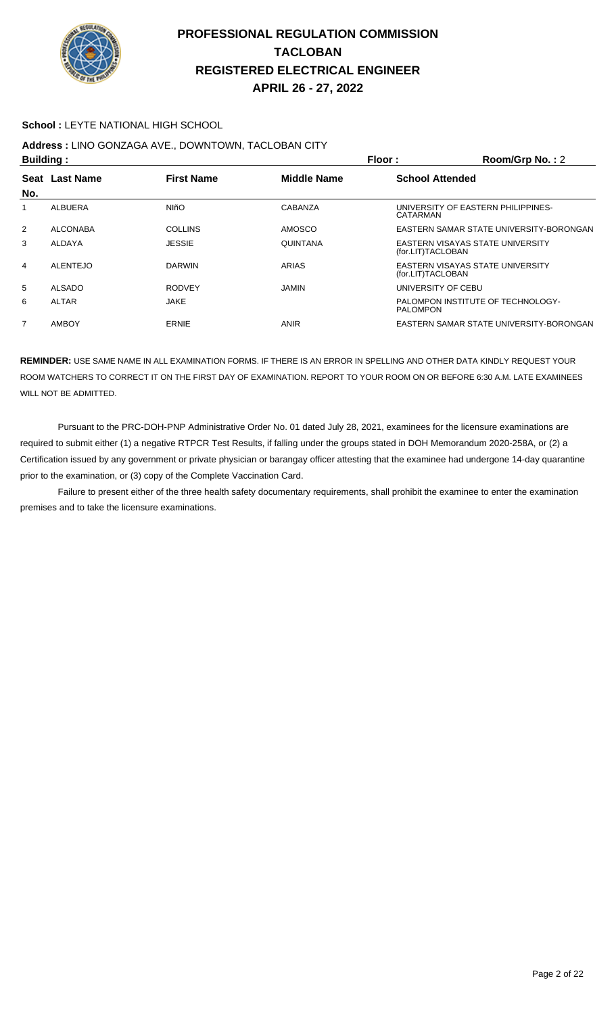

#### **School :** LEYTE NATIONAL HIGH SCHOOL

# **Address :** LINO GONZAGA AVE., DOWNTOWN, TACLOBAN CITY

| <b>Building:</b> |                  |                   |                 | Floor:<br>$Room/Grp$ No.: 2                           |  |
|------------------|------------------|-------------------|-----------------|-------------------------------------------------------|--|
| <b>Seat</b>      | <b>Last Name</b> | <b>First Name</b> | Middle Name     | <b>School Attended</b>                                |  |
| No.              |                  |                   |                 |                                                       |  |
|                  | <b>ALBUERA</b>   | <b>NIñO</b>       | CABANZA         | UNIVERSITY OF EASTERN PHILIPPINES-<br>CATARMAN        |  |
| $\overline{2}$   | <b>ALCONABA</b>  | <b>COLLINS</b>    | <b>AMOSCO</b>   | EASTERN SAMAR STATE UNIVERSITY-BORONGAN               |  |
| 3                | ALDAYA           | <b>JESSIE</b>     | <b>QUINTANA</b> | EASTERN VISAYAS STATE UNIVERSITY<br>(for.LIT)TACLOBAN |  |
| 4                | <b>ALENTEJO</b>  | <b>DARWIN</b>     | ARIAS           | EASTERN VISAYAS STATE UNIVERSITY<br>(for.LIT)TACLOBAN |  |
| 5                | <b>ALSADO</b>    | <b>RODVEY</b>     | JAMIN           | UNIVERSITY OF CEBU                                    |  |
| 6                | <b>ALTAR</b>     | <b>JAKE</b>       |                 | PALOMPON INSTITUTE OF TECHNOLOGY-<br><b>PALOMPON</b>  |  |
| 7                | <b>AMBOY</b>     | <b>ERNIE</b>      | <b>ANIR</b>     | EASTERN SAMAR STATE UNIVERSITY-BORONGAN               |  |

**REMINDER:** USE SAME NAME IN ALL EXAMINATION FORMS. IF THERE IS AN ERROR IN SPELLING AND OTHER DATA KINDLY REQUEST YOUR ROOM WATCHERS TO CORRECT IT ON THE FIRST DAY OF EXAMINATION. REPORT TO YOUR ROOM ON OR BEFORE 6:30 A.M. LATE EXAMINEES WILL NOT BE ADMITTED.

 Pursuant to the PRC-DOH-PNP Administrative Order No. 01 dated July 28, 2021, examinees for the licensure examinations are required to submit either (1) a negative RTPCR Test Results, if falling under the groups stated in DOH Memorandum 2020-258A, or (2) a Certification issued by any government or private physician or barangay officer attesting that the examinee had undergone 14-day quarantine prior to the examination, or (3) copy of the Complete Vaccination Card.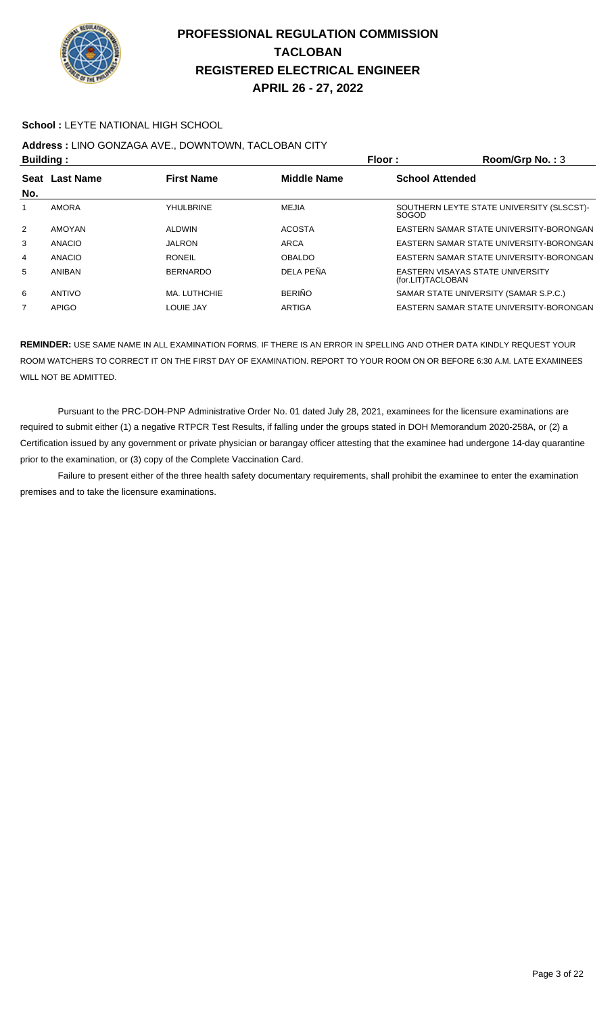

#### **School :** LEYTE NATIONAL HIGH SCHOOL

## **Address :** LINO GONZAGA AVE., DOWNTOWN, TACLOBAN CITY

| <b>Building:</b> |                |                                         | Floor:        | Room/Grp No.: 3        |                                           |
|------------------|----------------|-----------------------------------------|---------------|------------------------|-------------------------------------------|
|                  | Seat Last Name | <b>Middle Name</b><br><b>First Name</b> |               | <b>School Attended</b> |                                           |
| No.              |                |                                         |               |                        |                                           |
|                  | <b>AMORA</b>   | YHULBRINE                               | <b>MEJIA</b>  | <b>SOGOD</b>           | SOUTHERN LEYTE STATE UNIVERSITY (SLSCST)- |
| $\overline{2}$   | AMOYAN         | <b>ALDWIN</b>                           | <b>ACOSTA</b> |                        | EASTERN SAMAR STATE UNIVERSITY-BORONGAN   |
| 3                | ANACIO         | <b>JALRON</b>                           | <b>ARCA</b>   |                        | EASTERN SAMAR STATE UNIVERSITY-BORONGAN   |
| 4                | <b>ANACIO</b>  | <b>RONEIL</b>                           | <b>OBALDO</b> |                        | EASTERN SAMAR STATE UNIVERSITY-BORONGAN   |
| 5                | ANIBAN         | <b>BERNARDO</b>                         | DEI A PEÑA    | (for.LIT)TACLOBAN      | EASTERN VISAYAS STATE UNIVERSITY          |
| 6                | ANTIVO         | MA. LUTHCHIE                            | <b>BERIÑO</b> |                        | SAMAR STATE UNIVERSITY (SAMAR S.P.C.)     |
| $\overline{7}$   | <b>APIGO</b>   | LOUIE JAY                               | <b>ARTIGA</b> |                        | EASTERN SAMAR STATE UNIVERSITY-BORONGAN   |

**REMINDER:** USE SAME NAME IN ALL EXAMINATION FORMS. IF THERE IS AN ERROR IN SPELLING AND OTHER DATA KINDLY REQUEST YOUR ROOM WATCHERS TO CORRECT IT ON THE FIRST DAY OF EXAMINATION. REPORT TO YOUR ROOM ON OR BEFORE 6:30 A.M. LATE EXAMINEES WILL NOT BE ADMITTED.

 Pursuant to the PRC-DOH-PNP Administrative Order No. 01 dated July 28, 2021, examinees for the licensure examinations are required to submit either (1) a negative RTPCR Test Results, if falling under the groups stated in DOH Memorandum 2020-258A, or (2) a Certification issued by any government or private physician or barangay officer attesting that the examinee had undergone 14-day quarantine prior to the examination, or (3) copy of the Complete Vaccination Card.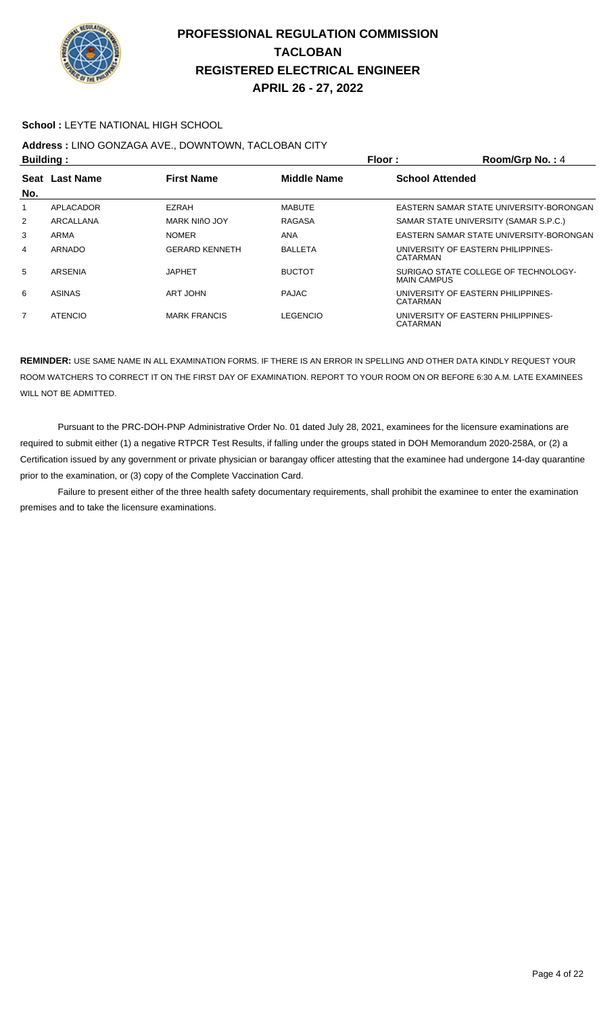

#### **School :** LEYTE NATIONAL HIGH SCHOOL

# **Address :** LINO GONZAGA AVE., DOWNTOWN, TACLOBAN CITY

| <b>Building:</b> |                |                       |                    | Floor:                 | Room/Grp No.: 4                         |
|------------------|----------------|-----------------------|--------------------|------------------------|-----------------------------------------|
| Seat<br>No.      | Last Name      | <b>First Name</b>     | <b>Middle Name</b> | <b>School Attended</b> |                                         |
| 1                | APLACADOR      | EZRAH                 | <b>MABUTE</b>      |                        | EASTERN SAMAR STATE UNIVERSITY-BORONGAN |
| 2                | ARCALLANA      | MARK NIñO JOY         | RAGASA             |                        | SAMAR STATE UNIVERSITY (SAMAR S.P.C.)   |
| 3                | ARMA           | <b>NOMER</b>          | ANA                |                        | EASTERN SAMAR STATE UNIVERSITY-BORONGAN |
| 4                | ARNADO         | <b>GERARD KENNETH</b> | <b>BALLETA</b>     | CATARMAN               | UNIVERSITY OF EASTERN PHILIPPINES-      |
| 5                | <b>ARSENIA</b> | JAPHET                | <b>BUCTOT</b>      | <b>MAIN CAMPUS</b>     | SURIGAO STATE COLLEGE OF TECHNOLOGY-    |
| 6                | <b>ASINAS</b>  | ART JOHN              | <b>PAJAC</b>       | CATARMAN               | UNIVERSITY OF EASTERN PHILIPPINES-      |
| 7                | <b>ATENCIO</b> | <b>MARK FRANCIS</b>   | <b>LEGENCIO</b>    | <b>CATARMAN</b>        | UNIVERSITY OF EASTERN PHILIPPINES-      |

**REMINDER:** USE SAME NAME IN ALL EXAMINATION FORMS. IF THERE IS AN ERROR IN SPELLING AND OTHER DATA KINDLY REQUEST YOUR ROOM WATCHERS TO CORRECT IT ON THE FIRST DAY OF EXAMINATION. REPORT TO YOUR ROOM ON OR BEFORE 6:30 A.M. LATE EXAMINEES WILL NOT BE ADMITTED.

 Pursuant to the PRC-DOH-PNP Administrative Order No. 01 dated July 28, 2021, examinees for the licensure examinations are required to submit either (1) a negative RTPCR Test Results, if falling under the groups stated in DOH Memorandum 2020-258A, or (2) a Certification issued by any government or private physician or barangay officer attesting that the examinee had undergone 14-day quarantine prior to the examination, or (3) copy of the Complete Vaccination Card.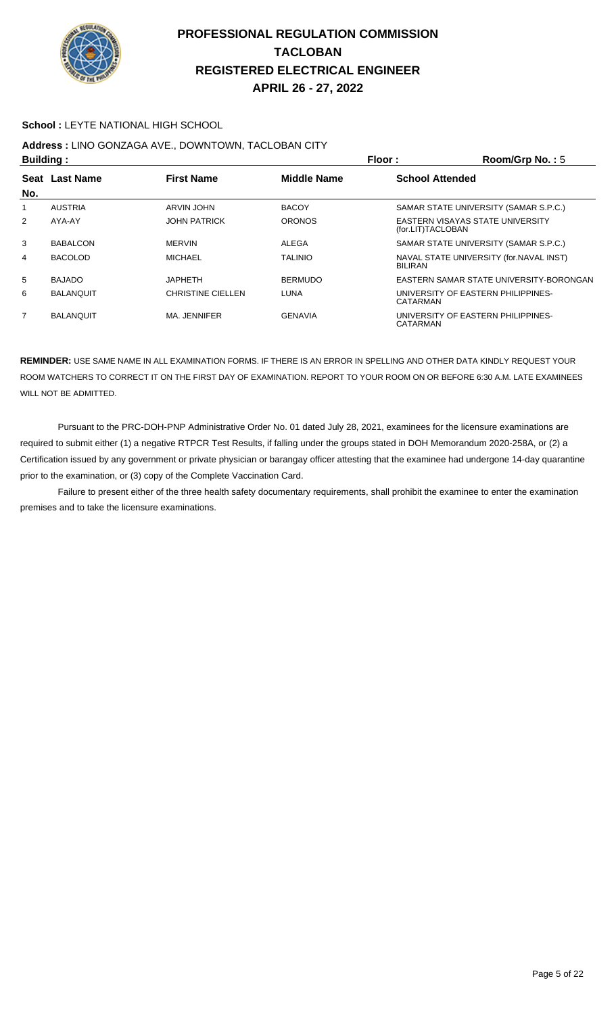

#### **School :** LEYTE NATIONAL HIGH SCHOOL

# **Address :** LINO GONZAGA AVE., DOWNTOWN, TACLOBAN CITY

| <b>Building:</b> |                  |                          |                    | Floor:<br>Room/Grp No.: 5                                  |  |
|------------------|------------------|--------------------------|--------------------|------------------------------------------------------------|--|
|                  | Seat Last Name   | <b>First Name</b>        | <b>Middle Name</b> | <b>School Attended</b>                                     |  |
| No.              |                  |                          |                    |                                                            |  |
| 1                | <b>AUSTRIA</b>   | <b>ARVIN JOHN</b>        | <b>BACOY</b>       | SAMAR STATE UNIVERSITY (SAMAR S.P.C.)                      |  |
| 2                | AYA-AY           | <b>JOHN PATRICK</b>      | <b>ORONOS</b>      | EASTERN VISAYAS STATE UNIVERSITY<br>(for.LIT)TACLOBAN      |  |
| 3                | <b>BABALCON</b>  | <b>MERVIN</b>            | ALEGA              | SAMAR STATE UNIVERSITY (SAMAR S.P.C.)                      |  |
| 4                | <b>BACOLOD</b>   | <b>MICHAEL</b>           | <b>TALINIO</b>     | NAVAL STATE UNIVERSITY (for. NAVAL INST)<br><b>BILIRAN</b> |  |
| 5                | <b>BAJADO</b>    | <b>JAPHETH</b>           | <b>BERMUDO</b>     | EASTERN SAMAR STATE UNIVERSITY-BORONGAN                    |  |
| 6                | <b>BALANQUIT</b> | <b>CHRISTINE CIELLEN</b> | LUNA               | UNIVERSITY OF EASTERN PHILIPPINES-<br>CATARMAN             |  |
| $\overline{7}$   | <b>BALANQUIT</b> | MA. JENNIFER             | <b>GENAVIA</b>     | UNIVERSITY OF EASTERN PHILIPPINES-<br>CATARMAN             |  |

**REMINDER:** USE SAME NAME IN ALL EXAMINATION FORMS. IF THERE IS AN ERROR IN SPELLING AND OTHER DATA KINDLY REQUEST YOUR ROOM WATCHERS TO CORRECT IT ON THE FIRST DAY OF EXAMINATION. REPORT TO YOUR ROOM ON OR BEFORE 6:30 A.M. LATE EXAMINEES WILL NOT BE ADMITTED.

 Pursuant to the PRC-DOH-PNP Administrative Order No. 01 dated July 28, 2021, examinees for the licensure examinations are required to submit either (1) a negative RTPCR Test Results, if falling under the groups stated in DOH Memorandum 2020-258A, or (2) a Certification issued by any government or private physician or barangay officer attesting that the examinee had undergone 14-day quarantine prior to the examination, or (3) copy of the Complete Vaccination Card.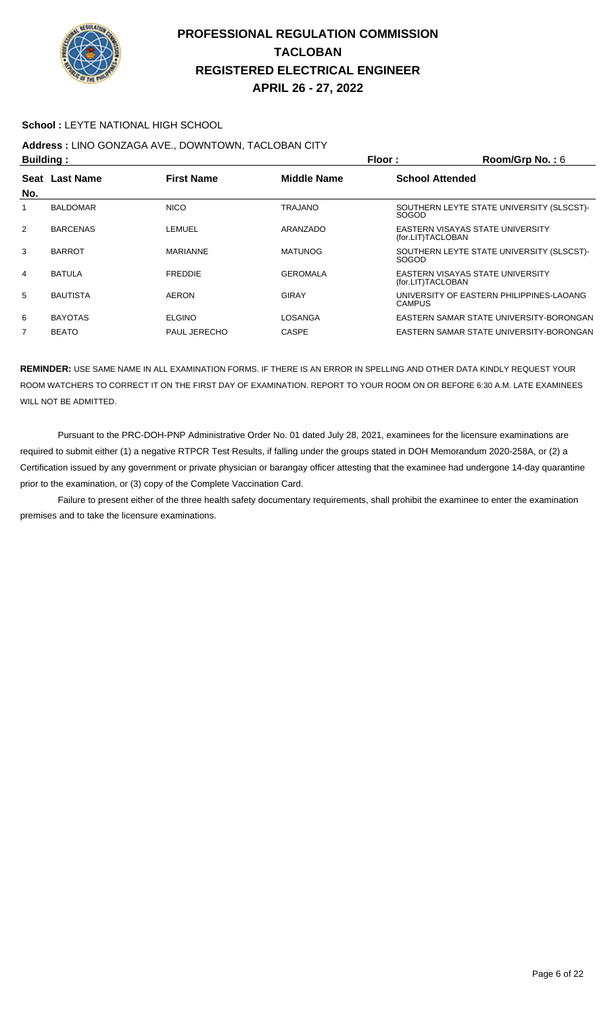

#### **School :** LEYTE NATIONAL HIGH SCHOOL

## **Address :** LINO GONZAGA AVE., DOWNTOWN, TACLOBAN CITY

| <b>Building:</b> |                  | Floor:              | Room/Grp No.: $6$  |                                                           |
|------------------|------------------|---------------------|--------------------|-----------------------------------------------------------|
| Seat             | <b>Last Name</b> | <b>First Name</b>   | <b>Middle Name</b> | <b>School Attended</b>                                    |
| No.              |                  |                     |                    |                                                           |
|                  | <b>BALDOMAR</b>  | <b>NICO</b>         | <b>TRAJANO</b>     | SOUTHERN LEYTE STATE UNIVERSITY (SLSCST)-<br><b>SOGOD</b> |
| 2                | <b>BARCENAS</b>  | LEMUEL              | ARANZADO           | EASTERN VISAYAS STATE UNIVERSITY<br>(for.LIT)TACLOBAN     |
| 3                | <b>BARROT</b>    | <b>MARIANNE</b>     | <b>MATUNOG</b>     | SOUTHERN LEYTE STATE UNIVERSITY (SLSCST)-<br><b>SOGOD</b> |
| 4                | <b>BATULA</b>    | <b>FREDDIE</b>      | <b>GEROMALA</b>    | EASTERN VISAYAS STATE UNIVERSITY<br>(for.LIT)TACLOBAN     |
| 5                | <b>BAUTISTA</b>  | <b>AERON</b>        | GIRAY              | UNIVERSITY OF EASTERN PHILIPPINES-LAOANG<br><b>CAMPUS</b> |
| 6                | <b>BAYOTAS</b>   | <b>ELGINO</b>       | LOSANGA            | EASTERN SAMAR STATE UNIVERSITY-BORONGAN                   |
| 7                | <b>BEATO</b>     | <b>PAUL JERECHO</b> | <b>CASPE</b>       | EASTERN SAMAR STATE UNIVERSITY-BORONGAN                   |

**REMINDER:** USE SAME NAME IN ALL EXAMINATION FORMS. IF THERE IS AN ERROR IN SPELLING AND OTHER DATA KINDLY REQUEST YOUR ROOM WATCHERS TO CORRECT IT ON THE FIRST DAY OF EXAMINATION. REPORT TO YOUR ROOM ON OR BEFORE 6:30 A.M. LATE EXAMINEES WILL NOT BE ADMITTED.

 Pursuant to the PRC-DOH-PNP Administrative Order No. 01 dated July 28, 2021, examinees for the licensure examinations are required to submit either (1) a negative RTPCR Test Results, if falling under the groups stated in DOH Memorandum 2020-258A, or (2) a Certification issued by any government or private physician or barangay officer attesting that the examinee had undergone 14-day quarantine prior to the examination, or (3) copy of the Complete Vaccination Card.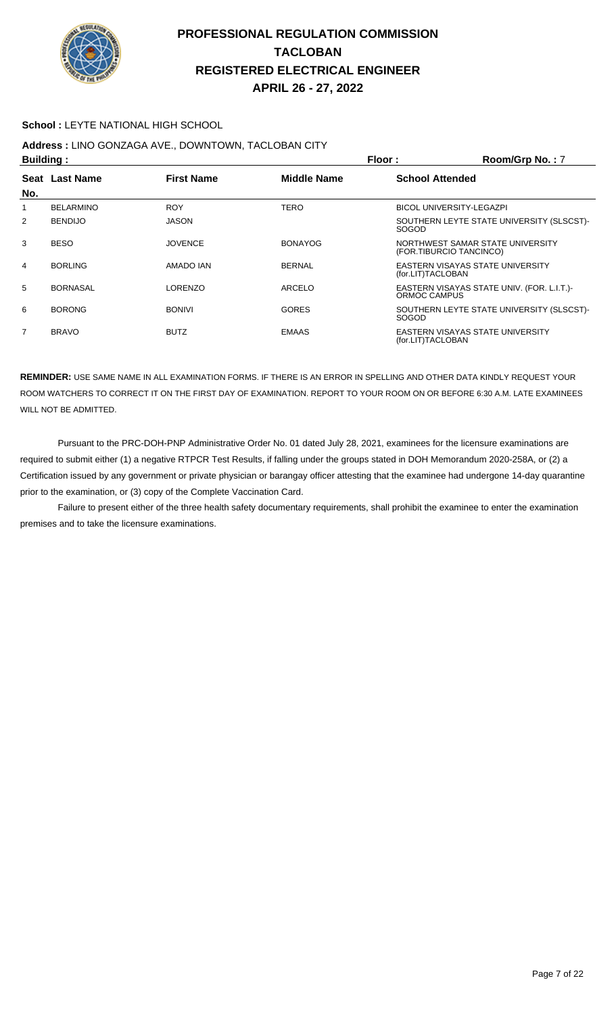

#### **School :** LEYTE NATIONAL HIGH SCHOOL

# **Address :** LINO GONZAGA AVE., DOWNTOWN, TACLOBAN CITY

|                | <b>Building:</b> |                   |                    | Floor:<br>Room/Grp No.: 7                                   |
|----------------|------------------|-------------------|--------------------|-------------------------------------------------------------|
|                | Seat Last Name   | <b>First Name</b> | <b>Middle Name</b> | <b>School Attended</b>                                      |
| No.            |                  |                   |                    |                                                             |
| 1              | <b>BELARMINO</b> | <b>ROY</b>        | <b>TERO</b>        | <b>BICOL UNIVERSITY-LEGAZPI</b>                             |
| $\overline{2}$ | <b>BENDIJO</b>   | <b>JASON</b>      |                    | SOUTHERN LEYTE STATE UNIVERSITY (SLSCST)-<br><b>SOGOD</b>   |
| 3              | <b>BESO</b>      | <b>JOVENCE</b>    | <b>BONAYOG</b>     | NORTHWEST SAMAR STATE UNIVERSITY<br>(FOR.TIBURCIO TANCINCO) |
| 4              | <b>BORLING</b>   | AMADO IAN         | <b>BERNAL</b>      | EASTERN VISAYAS STATE UNIVERSITY<br>(for.LIT)TACLOBAN       |
| 5              | <b>BORNASAL</b>  | <b>LORENZO</b>    | ARCELO             | EASTERN VISAYAS STATE UNIV. (FOR. L.I.T.)-<br>ORMOC CAMPUS  |
| 6              | <b>BORONG</b>    | <b>BONIVI</b>     | <b>GORES</b>       | SOUTHERN LEYTE STATE UNIVERSITY (SLSCST)-<br><b>SOGOD</b>   |
| 7              | <b>BRAVO</b>     | <b>BUTZ</b>       | <b>EMAAS</b>       | EASTERN VISAYAS STATE UNIVERSITY<br>(for.LIT)TACLOBAN       |

**REMINDER:** USE SAME NAME IN ALL EXAMINATION FORMS. IF THERE IS AN ERROR IN SPELLING AND OTHER DATA KINDLY REQUEST YOUR ROOM WATCHERS TO CORRECT IT ON THE FIRST DAY OF EXAMINATION. REPORT TO YOUR ROOM ON OR BEFORE 6:30 A.M. LATE EXAMINEES WILL NOT BE ADMITTED.

 Pursuant to the PRC-DOH-PNP Administrative Order No. 01 dated July 28, 2021, examinees for the licensure examinations are required to submit either (1) a negative RTPCR Test Results, if falling under the groups stated in DOH Memorandum 2020-258A, or (2) a Certification issued by any government or private physician or barangay officer attesting that the examinee had undergone 14-day quarantine prior to the examination, or (3) copy of the Complete Vaccination Card.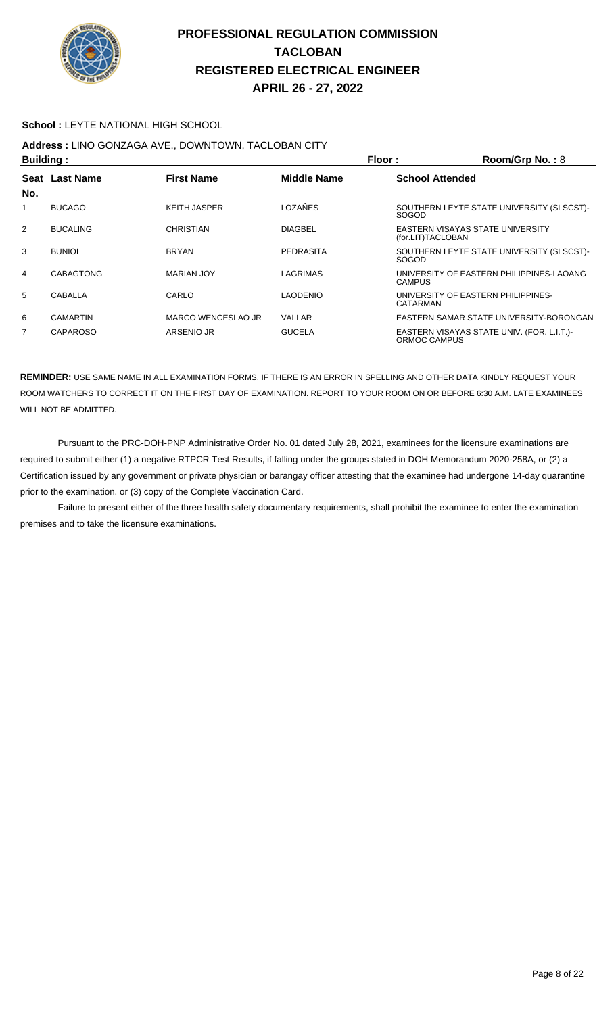

#### **School :** LEYTE NATIONAL HIGH SCHOOL

## **Address :** LINO GONZAGA AVE., DOWNTOWN, TACLOBAN CITY

|                | Building:        |                     |                    | Floor:                 | Room/Grp No.: 8                            |
|----------------|------------------|---------------------|--------------------|------------------------|--------------------------------------------|
| Seat           | <b>Last Name</b> | <b>First Name</b>   | <b>Middle Name</b> | <b>School Attended</b> |                                            |
| No.            |                  |                     |                    |                        |                                            |
|                | <b>BUCAGO</b>    | <b>KEITH JASPER</b> | LOZAÑES            | SOGOD                  | SOUTHERN LEYTE STATE UNIVERSITY (SLSCST)-  |
| $\overline{2}$ | <b>BUCALING</b>  | <b>CHRISTIAN</b>    | <b>DIAGBEL</b>     | (for.LIT)TACLOBAN      | EASTERN VISAYAS STATE UNIVERSITY           |
| 3              | <b>BUNIOL</b>    | <b>BRYAN</b>        | <b>PEDRASITA</b>   | <b>SOGOD</b>           | SOUTHERN LEYTE STATE UNIVERSITY (SLSCST)-  |
| 4              | <b>CABAGTONG</b> | <b>MARIAN JOY</b>   | LAGRIMAS           | <b>CAMPUS</b>          | UNIVERSITY OF EASTERN PHILIPPINES-LAOANG   |
| 5              | CABALLA          | CARLO               | <b>LAODENIO</b>    | CATARMAN               | UNIVERSITY OF EASTERN PHILIPPINES-         |
| 6              | CAMARTIN         | MARCO WENCESLAO JR  | VALLAR             |                        | EASTERN SAMAR STATE UNIVERSITY-BORONGAN    |
| 7              | CAPAROSO         | ARSENIO JR          | <b>GUCELA</b>      | ORMOC CAMPUS           | EASTERN VISAYAS STATE UNIV. (FOR. L.I.T.)- |

**REMINDER:** USE SAME NAME IN ALL EXAMINATION FORMS. IF THERE IS AN ERROR IN SPELLING AND OTHER DATA KINDLY REQUEST YOUR ROOM WATCHERS TO CORRECT IT ON THE FIRST DAY OF EXAMINATION. REPORT TO YOUR ROOM ON OR BEFORE 6:30 A.M. LATE EXAMINEES WILL NOT BE ADMITTED.

 Pursuant to the PRC-DOH-PNP Administrative Order No. 01 dated July 28, 2021, examinees for the licensure examinations are required to submit either (1) a negative RTPCR Test Results, if falling under the groups stated in DOH Memorandum 2020-258A, or (2) a Certification issued by any government or private physician or barangay officer attesting that the examinee had undergone 14-day quarantine prior to the examination, or (3) copy of the Complete Vaccination Card.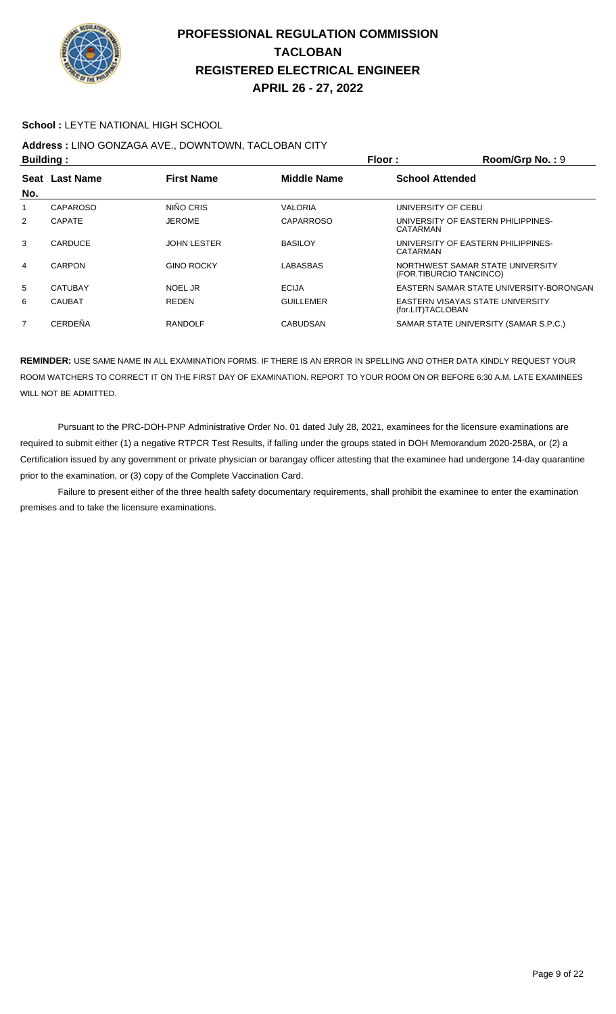

#### **School :** LEYTE NATIONAL HIGH SCHOOL

# **Address :** LINO GONZAGA AVE., DOWNTOWN, TACLOBAN CITY

| <b>Building:</b> |                 |                    |                    | Floor:<br>Room/Grp No.: 9                                   |  |
|------------------|-----------------|--------------------|--------------------|-------------------------------------------------------------|--|
|                  | Seat Last Name  | <b>First Name</b>  | <b>Middle Name</b> | <b>School Attended</b>                                      |  |
| No.              |                 |                    |                    |                                                             |  |
|                  | <b>CAPAROSO</b> | NIÑO CRIS          | VALORIA            | UNIVERSITY OF CEBU                                          |  |
| $\overline{2}$   | <b>CAPATE</b>   | <b>JEROME</b>      | CAPARROSO          | UNIVERSITY OF EASTERN PHILIPPINES-<br>CATARMAN              |  |
| 3                | CARDUCE         | <b>JOHN LESTER</b> | <b>BASILOY</b>     | UNIVERSITY OF EASTERN PHILIPPINES-<br>CATARMAN              |  |
| 4                | CARPON          | <b>GINO ROCKY</b>  | LABASBAS           | NORTHWEST SAMAR STATE UNIVERSITY<br>(FOR.TIBURCIO TANCINCO) |  |
| 5                | <b>CATUBAY</b>  | NOEL JR            | <b>ECIJA</b>       | EASTERN SAMAR STATE UNIVERSITY-BORONGAN                     |  |
| 6                | <b>CAUBAT</b>   | <b>REDEN</b>       | <b>GUILLEMER</b>   | EASTERN VISAYAS STATE UNIVERSITY<br>(for.LIT)TACLOBAN       |  |
| $\overline{7}$   | CERDEÑA         | <b>RANDOLF</b>     | <b>CABUDSAN</b>    | SAMAR STATE UNIVERSITY (SAMAR S.P.C.)                       |  |

**REMINDER:** USE SAME NAME IN ALL EXAMINATION FORMS. IF THERE IS AN ERROR IN SPELLING AND OTHER DATA KINDLY REQUEST YOUR ROOM WATCHERS TO CORRECT IT ON THE FIRST DAY OF EXAMINATION. REPORT TO YOUR ROOM ON OR BEFORE 6:30 A.M. LATE EXAMINEES WILL NOT BE ADMITTED.

 Pursuant to the PRC-DOH-PNP Administrative Order No. 01 dated July 28, 2021, examinees for the licensure examinations are required to submit either (1) a negative RTPCR Test Results, if falling under the groups stated in DOH Memorandum 2020-258A, or (2) a Certification issued by any government or private physician or barangay officer attesting that the examinee had undergone 14-day quarantine prior to the examination, or (3) copy of the Complete Vaccination Card.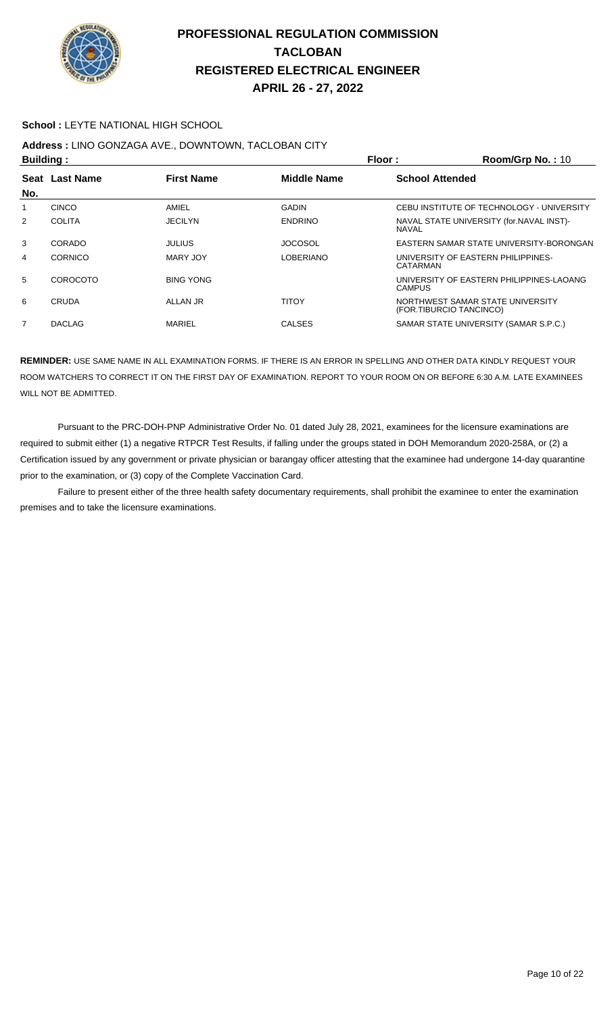

#### **School :** LEYTE NATIONAL HIGH SCHOOL

# **Address :** LINO GONZAGA AVE., DOWNTOWN, TACLOBAN CITY

| <b>Building:</b> |                |                   | Floor:             | Room/Grp No.: $10$                                          |
|------------------|----------------|-------------------|--------------------|-------------------------------------------------------------|
| Seat             | Last Name      | <b>First Name</b> | <b>Middle Name</b> | <b>School Attended</b>                                      |
| No.              |                |                   |                    |                                                             |
| 1                | <b>CINCO</b>   | AMIEL             | <b>GADIN</b>       | CEBU INSTITUTE OF TECHNOLOGY - UNIVERSITY                   |
| 2                | <b>COLITA</b>  | <b>JECILYN</b>    | <b>ENDRINO</b>     | NAVAL STATE UNIVERSITY (for. NAVAL INST)-<br><b>NAVAL</b>   |
| 3                | CORADO         | JULIUS            | <b>JOCOSOL</b>     | EASTERN SAMAR STATE UNIVERSITY-BORONGAN                     |
| 4                | <b>CORNICO</b> | MARY JOY          | LOBERIANO          | UNIVERSITY OF EASTERN PHILIPPINES-<br>CATARMAN              |
| 5                | COROCOTO       | <b>BING YONG</b>  |                    | UNIVERSITY OF EASTERN PHILIPPINES-LAOANG<br>CAMPUS          |
| 6                | <b>CRUDA</b>   | ALLAN JR          | TITOY              | NORTHWEST SAMAR STATE UNIVERSITY<br>(FOR.TIBURCIO TANCINCO) |
| $\overline{7}$   | <b>DACLAG</b>  | MARIEL            | <b>CALSES</b>      | SAMAR STATE UNIVERSITY (SAMAR S.P.C.)                       |
|                  |                |                   |                    |                                                             |

**REMINDER:** USE SAME NAME IN ALL EXAMINATION FORMS. IF THERE IS AN ERROR IN SPELLING AND OTHER DATA KINDLY REQUEST YOUR ROOM WATCHERS TO CORRECT IT ON THE FIRST DAY OF EXAMINATION. REPORT TO YOUR ROOM ON OR BEFORE 6:30 A.M. LATE EXAMINEES WILL NOT BE ADMITTED.

 Pursuant to the PRC-DOH-PNP Administrative Order No. 01 dated July 28, 2021, examinees for the licensure examinations are required to submit either (1) a negative RTPCR Test Results, if falling under the groups stated in DOH Memorandum 2020-258A, or (2) a Certification issued by any government or private physician or barangay officer attesting that the examinee had undergone 14-day quarantine prior to the examination, or (3) copy of the Complete Vaccination Card.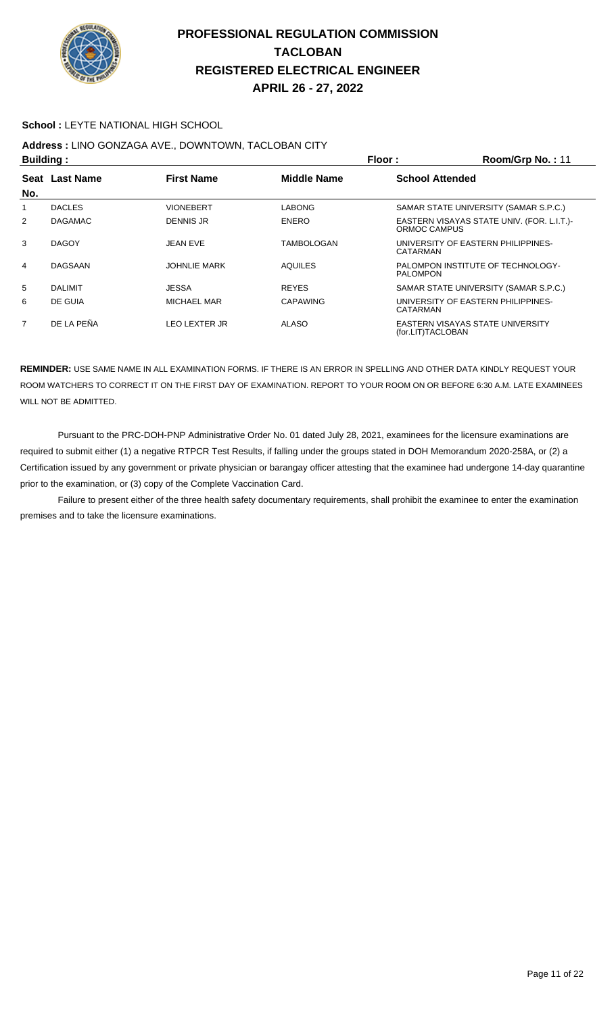

#### **School :** LEYTE NATIONAL HIGH SCHOOL

# **Address :** LINO GONZAGA AVE., DOWNTOWN, TACLOBAN CITY

| <b>Building:</b>                                             |                |                        |                   | Floor:            | Room/Grp No.: 11                           |
|--------------------------------------------------------------|----------------|------------------------|-------------------|-------------------|--------------------------------------------|
| Last Name<br><b>First Name</b><br><b>Middle Name</b><br>Seat |                | <b>School Attended</b> |                   |                   |                                            |
| No.                                                          |                |                        |                   |                   |                                            |
|                                                              | <b>DACLES</b>  | <b>VIONEBERT</b>       | <b>LABONG</b>     |                   | SAMAR STATE UNIVERSITY (SAMAR S.P.C.)      |
| $\overline{2}$                                               | <b>DAGAMAC</b> | <b>DENNIS JR</b>       | <b>ENERO</b>      | ORMOC CAMPUS      | EASTERN VISAYAS STATE UNIV. (FOR. L.I.T.)- |
| 3                                                            | <b>DAGOY</b>   | JEAN EVE               | <b>TAMBOLOGAN</b> | CATARMAN          | UNIVERSITY OF EASTERN PHILIPPINES-         |
| 4                                                            | <b>DAGSAAN</b> | <b>JOHNLIE MARK</b>    | <b>AQUILES</b>    | <b>PALOMPON</b>   | PALOMPON INSTITUTE OF TECHNOLOGY-          |
| 5                                                            | <b>DALIMIT</b> | JESSA                  | <b>REYES</b>      |                   | SAMAR STATE UNIVERSITY (SAMAR S.P.C.)      |
| 6                                                            | DE GUIA        | MICHAEL MAR            | <b>CAPAWING</b>   | CATARMAN          | UNIVERSITY OF EASTERN PHILIPPINES-         |
| 7                                                            | DE LA PEÑA     | <b>LEO LEXTER JR</b>   | <b>ALASO</b>      | (for.LIT)TACLOBAN | EASTERN VISAYAS STATE UNIVERSITY           |

**REMINDER:** USE SAME NAME IN ALL EXAMINATION FORMS. IF THERE IS AN ERROR IN SPELLING AND OTHER DATA KINDLY REQUEST YOUR ROOM WATCHERS TO CORRECT IT ON THE FIRST DAY OF EXAMINATION. REPORT TO YOUR ROOM ON OR BEFORE 6:30 A.M. LATE EXAMINEES WILL NOT BE ADMITTED.

 Pursuant to the PRC-DOH-PNP Administrative Order No. 01 dated July 28, 2021, examinees for the licensure examinations are required to submit either (1) a negative RTPCR Test Results, if falling under the groups stated in DOH Memorandum 2020-258A, or (2) a Certification issued by any government or private physician or barangay officer attesting that the examinee had undergone 14-day quarantine prior to the examination, or (3) copy of the Complete Vaccination Card.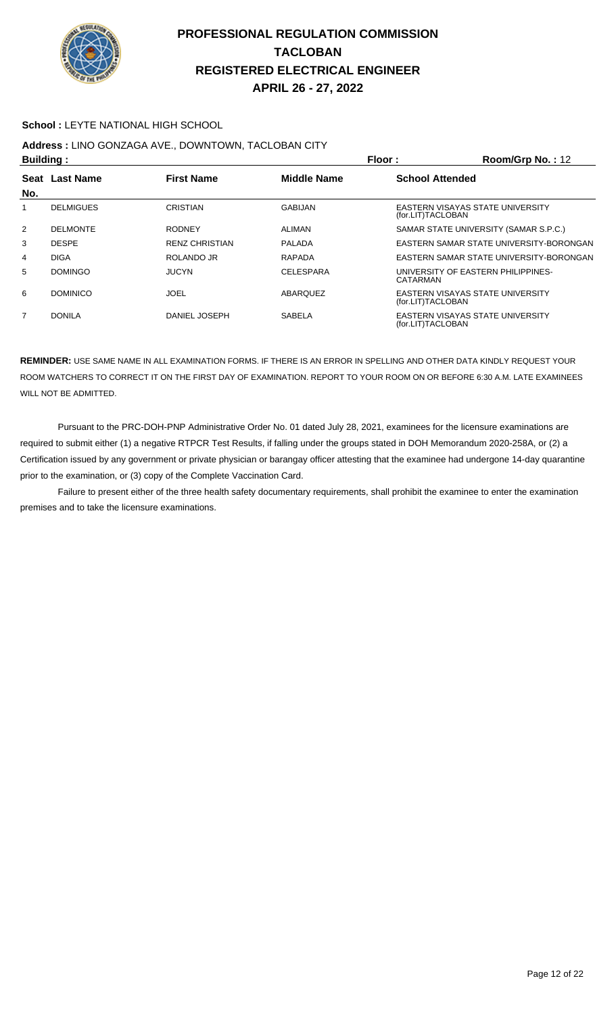

#### **School :** LEYTE NATIONAL HIGH SCHOOL

## **Address :** LINO GONZAGA AVE., DOWNTOWN, TACLOBAN CITY

| <b>Building:</b> |                  |                       |                  | Floor:                 | Room/Grp No.: 12                        |
|------------------|------------------|-----------------------|------------------|------------------------|-----------------------------------------|
| <b>Seat</b>      | Last Name        | <b>First Name</b>     | Middle Name      | <b>School Attended</b> |                                         |
| No.              |                  |                       |                  |                        |                                         |
|                  | <b>DELMIGUES</b> | <b>CRISTIAN</b>       | <b>GABIJAN</b>   | (for.LIT)TACLOBAN      | EASTERN VISAYAS STATE UNIVERSITY        |
| $\overline{2}$   | <b>DELMONTE</b>  | <b>RODNEY</b>         | <b>ALIMAN</b>    |                        | SAMAR STATE UNIVERSITY (SAMAR S.P.C.)   |
| 3                | <b>DESPE</b>     | <b>RENZ CHRISTIAN</b> | <b>PALADA</b>    |                        | EASTERN SAMAR STATE UNIVERSITY-BORONGAN |
| 4                | <b>DIGA</b>      | ROLANDO JR            | RAPADA           |                        | EASTERN SAMAR STATE UNIVERSITY-BORONGAN |
| 5                | <b>DOMINGO</b>   | <b>JUCYN</b>          | <b>CELESPARA</b> | CATARMAN               | UNIVERSITY OF EASTERN PHILIPPINES-      |
| 6                | <b>DOMINICO</b>  | JOEL                  | ABARQUEZ         | (for.LIT)TACLOBAN      | EASTERN VISAYAS STATE UNIVERSITY        |
| 7                | <b>DONILA</b>    | DANIEL JOSEPH         | <b>SABELA</b>    | (for.LIT)TACLOBAN      | EASTERN VISAYAS STATE UNIVERSITY        |

**REMINDER:** USE SAME NAME IN ALL EXAMINATION FORMS. IF THERE IS AN ERROR IN SPELLING AND OTHER DATA KINDLY REQUEST YOUR ROOM WATCHERS TO CORRECT IT ON THE FIRST DAY OF EXAMINATION. REPORT TO YOUR ROOM ON OR BEFORE 6:30 A.M. LATE EXAMINEES WILL NOT BE ADMITTED.

 Pursuant to the PRC-DOH-PNP Administrative Order No. 01 dated July 28, 2021, examinees for the licensure examinations are required to submit either (1) a negative RTPCR Test Results, if falling under the groups stated in DOH Memorandum 2020-258A, or (2) a Certification issued by any government or private physician or barangay officer attesting that the examinee had undergone 14-day quarantine prior to the examination, or (3) copy of the Complete Vaccination Card.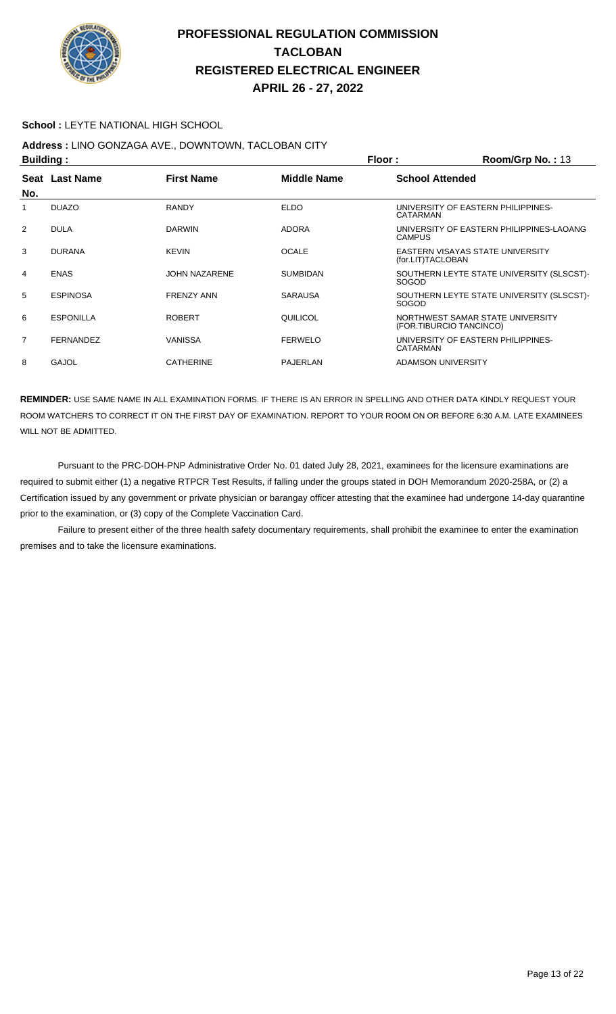

#### **School :** LEYTE NATIONAL HIGH SCHOOL

## **Address :** LINO GONZAGA AVE., DOWNTOWN, TACLOBAN CITY

| <b>Building:</b> |                  |                      | Floor:          | Room/Grp No.: 13                                            |
|------------------|------------------|----------------------|-----------------|-------------------------------------------------------------|
| No.              | Seat Last Name   | <b>First Name</b>    | Middle Name     | <b>School Attended</b>                                      |
|                  | <b>DUAZO</b>     | <b>RANDY</b>         | <b>ELDO</b>     | UNIVERSITY OF EASTERN PHILIPPINES-<br>CATARMAN              |
| 2                | <b>DULA</b>      | <b>DARWIN</b>        | <b>ADORA</b>    | UNIVERSITY OF EASTERN PHILIPPINES LAOANG<br><b>CAMPUS</b>   |
| 3                | <b>DURANA</b>    | <b>KEVIN</b>         | <b>OCALE</b>    | EASTERN VISAYAS STATE UNIVERSITY<br>(for.LIT)TACLOBAN       |
| 4                | <b>ENAS</b>      | <b>JOHN NAZARENE</b> | <b>SUMBIDAN</b> | SOUTHERN LEYTE STATE UNIVERSITY (SLSCST)-<br>SOGOD          |
| 5                | <b>ESPINOSA</b>  | <b>FRENZY ANN</b>    | <b>SARAUSA</b>  | SOUTHERN LEYTE STATE UNIVERSITY (SLSCST)-<br><b>SOGOD</b>   |
| 6                | <b>ESPONILLA</b> | <b>ROBERT</b>        | QUILICOL        | NORTHWEST SAMAR STATE UNIVERSITY<br>(FOR.TIBURCIO TANCINCO) |
| $\overline{7}$   | <b>FERNANDEZ</b> | VANISSA              | <b>FERWELO</b>  | UNIVERSITY OF EASTERN PHILIPPINES-<br>CATARMAN              |
| 8                | GAJOL            | <b>CATHERINE</b>     | <b>PAJERLAN</b> | ADAMSON UNIVERSITY                                          |

**REMINDER:** USE SAME NAME IN ALL EXAMINATION FORMS. IF THERE IS AN ERROR IN SPELLING AND OTHER DATA KINDLY REQUEST YOUR ROOM WATCHERS TO CORRECT IT ON THE FIRST DAY OF EXAMINATION. REPORT TO YOUR ROOM ON OR BEFORE 6:30 A.M. LATE EXAMINEES WILL NOT BE ADMITTED.

 Pursuant to the PRC-DOH-PNP Administrative Order No. 01 dated July 28, 2021, examinees for the licensure examinations are required to submit either (1) a negative RTPCR Test Results, if falling under the groups stated in DOH Memorandum 2020-258A, or (2) a Certification issued by any government or private physician or barangay officer attesting that the examinee had undergone 14-day quarantine prior to the examination, or (3) copy of the Complete Vaccination Card.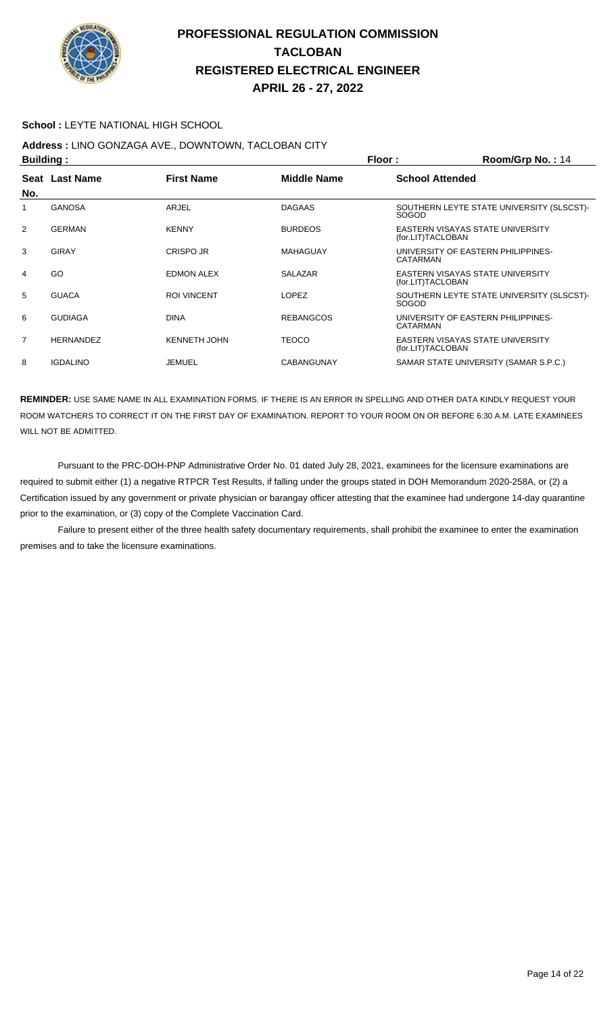

#### **School : LEYTE NATIONAL HIGH SCHOOL**

## **Address :** LINO GONZAGA AVE., DOWNTOWN, TACLOBAN CITY

| <b>Building:</b> |                  |                     | Floor:            | Room/Grp No.: 14                                          |
|------------------|------------------|---------------------|-------------------|-----------------------------------------------------------|
| No.              | Seat Last Name   | <b>First Name</b>   | Middle Name       | <b>School Attended</b>                                    |
| 1                | <b>GANOSA</b>    | ARJEL               | <b>DAGAAS</b>     | SOUTHERN LEYTE STATE UNIVERSITY (SLSCST)-<br><b>SOGOD</b> |
| 2                | <b>GERMAN</b>    | <b>KENNY</b>        | <b>BURDEOS</b>    | EASTERN VISAYAS STATE UNIVERSITY<br>(for.LIT)TACLOBAN     |
| 3                | GIRAY            | CRISPO JR           | MAHAGUAY          | UNIVERSITY OF EASTERN PHILIPPINES-<br>CATARMAN            |
| 4                | GO               | EDMON ALEX          | <b>SALAZAR</b>    | EASTERN VISAYAS STATE UNIVERSITY<br>(for.LIT)TACLOBAN     |
| 5                | <b>GUACA</b>     | <b>ROI VINCENT</b>  | <b>LOPEZ</b>      | SOUTHERN LEYTE STATE UNIVERSITY (SLSCST)-<br><b>SOGOD</b> |
| 6                | <b>GUDIAGA</b>   | <b>DINA</b>         | <b>REBANGCOS</b>  | UNIVERSITY OF EASTERN PHILIPPINES-<br>CATARMAN            |
| $\overline{7}$   | <b>HERNANDEZ</b> | <b>KENNETH JOHN</b> | <b>TEOCO</b>      | EASTERN VISAYAS STATE UNIVERSITY<br>(for.LIT)TACLOBAN     |
| 8                | <b>IGDALINO</b>  | <b>JEMUEL</b>       | <b>CABANGUNAY</b> | SAMAR STATE UNIVERSITY (SAMAR S.P.C.)                     |
|                  |                  |                     |                   |                                                           |

**REMINDER:** USE SAME NAME IN ALL EXAMINATION FORMS. IF THERE IS AN ERROR IN SPELLING AND OTHER DATA KINDLY REQUEST YOUR ROOM WATCHERS TO CORRECT IT ON THE FIRST DAY OF EXAMINATION. REPORT TO YOUR ROOM ON OR BEFORE 6:30 A.M. LATE EXAMINEES WILL NOT BE ADMITTED.

 Pursuant to the PRC-DOH-PNP Administrative Order No. 01 dated July 28, 2021, examinees for the licensure examinations are required to submit either (1) a negative RTPCR Test Results, if falling under the groups stated in DOH Memorandum 2020-258A, or (2) a Certification issued by any government or private physician or barangay officer attesting that the examinee had undergone 14-day quarantine prior to the examination, or (3) copy of the Complete Vaccination Card.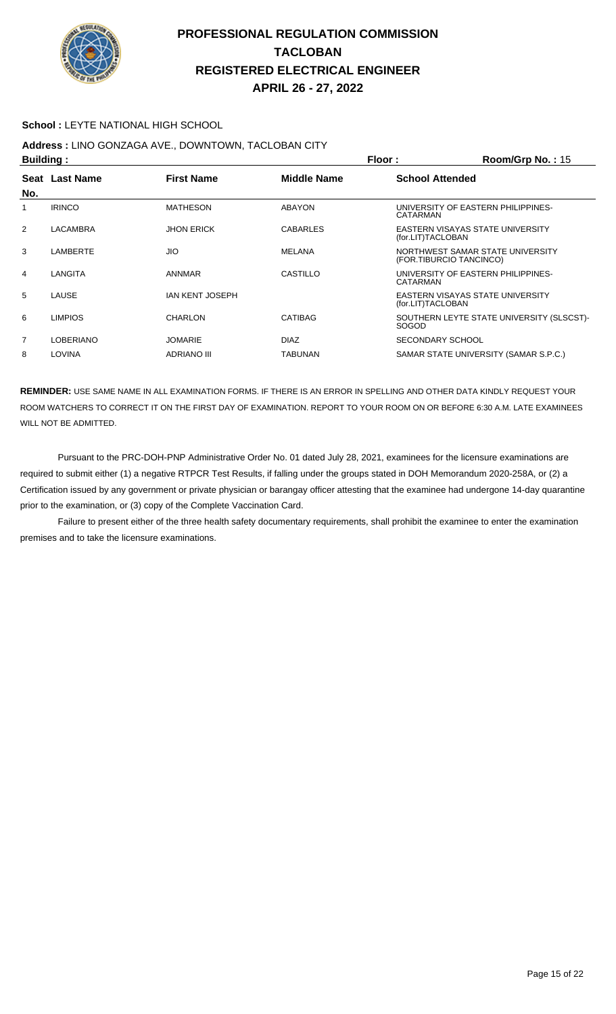

#### **School : LEYTE NATIONAL HIGH SCHOOL**

## **Address :** LINO GONZAGA AVE., DOWNTOWN, TACLOBAN CITY

|                | <b>Building:</b> |                        |                 | Floor:                  | Room/Grp No.: 15                          |
|----------------|------------------|------------------------|-----------------|-------------------------|-------------------------------------------|
| No.            | Seat Last Name   | <b>First Name</b>      | Middle Name     | <b>School Attended</b>  |                                           |
|                | <b>IRINCO</b>    | <b>MATHESON</b>        | ABAYON          | CATARMAN                | UNIVERSITY OF EASTERN PHILIPPINES-        |
| 2              | LACAMBRA         | <b>JHON ERICK</b>      | <b>CABARLES</b> | (for.LIT)TACLOBAN       | EASTERN VISAYAS STATE UNIVERSITY          |
| 3              | LAMBERTE         | <b>JIO</b>             | MELANA          | (FOR.TIBURCIO TANCINCO) | NORTHWEST SAMAR STATE UNIVERSITY          |
| 4              | LANGITA          | <b>ANNMAR</b>          | CASTILLO        | CATARMAN                | UNIVERSITY OF EASTERN PHILIPPINES-        |
| 5              | LAUSE            | <b>IAN KENT JOSEPH</b> |                 | (for.LIT)TACLOBAN       | EASTERN VISAYAS STATE UNIVERSITY          |
| 6              | <b>LIMPIOS</b>   | CHARLON                | CATIBAG         | <b>SOGOD</b>            | SOUTHERN LEYTE STATE UNIVERSITY (SLSCST)- |
| $\overline{7}$ | <b>LOBERIANO</b> | <b>JOMARIE</b>         | <b>DIAZ</b>     | <b>SECONDARY SCHOOL</b> |                                           |
| 8              | <b>LOVINA</b>    | <b>ADRIANO III</b>     | <b>TABUNAN</b>  |                         | SAMAR STATE UNIVERSITY (SAMAR S.P.C.)     |

**REMINDER:** USE SAME NAME IN ALL EXAMINATION FORMS. IF THERE IS AN ERROR IN SPELLING AND OTHER DATA KINDLY REQUEST YOUR ROOM WATCHERS TO CORRECT IT ON THE FIRST DAY OF EXAMINATION. REPORT TO YOUR ROOM ON OR BEFORE 6:30 A.M. LATE EXAMINEES WILL NOT BE ADMITTED.

 Pursuant to the PRC-DOH-PNP Administrative Order No. 01 dated July 28, 2021, examinees for the licensure examinations are required to submit either (1) a negative RTPCR Test Results, if falling under the groups stated in DOH Memorandum 2020-258A, or (2) a Certification issued by any government or private physician or barangay officer attesting that the examinee had undergone 14-day quarantine prior to the examination, or (3) copy of the Complete Vaccination Card.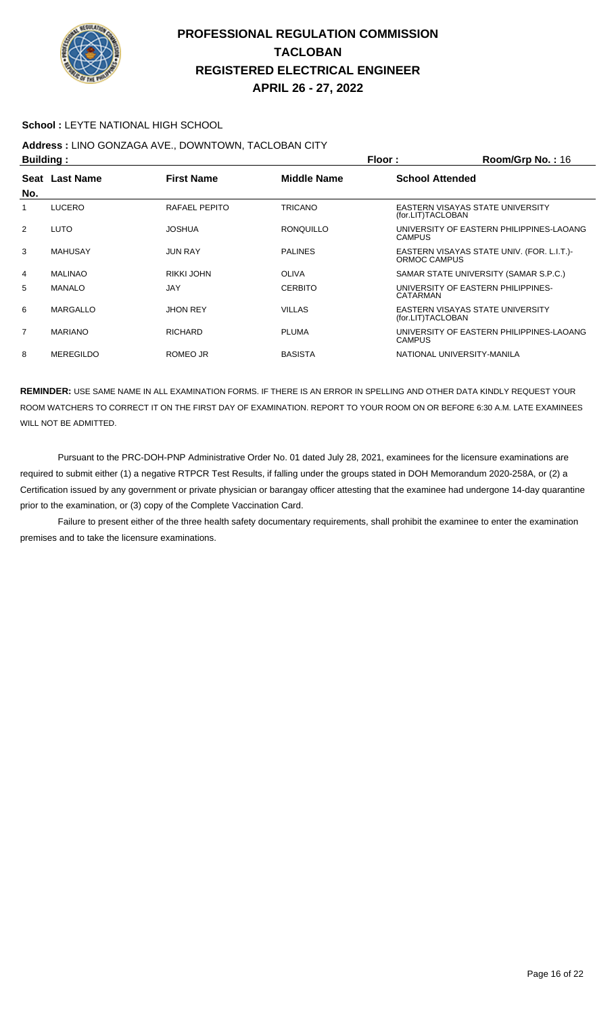

#### **School : LEYTE NATIONAL HIGH SCHOOL**

## **Address :** LINO GONZAGA AVE., DOWNTOWN, TACLOBAN CITY

| <b>Building:</b> |                  |                   |                  | Floor:                 | Room/Grp No.: 16                           |
|------------------|------------------|-------------------|------------------|------------------------|--------------------------------------------|
|                  | Seat Last Name   | <b>First Name</b> | Middle Name      | <b>School Attended</b> |                                            |
| No.              |                  |                   |                  |                        |                                            |
|                  | <b>LUCERO</b>    | RAFAEL PEPITO     | <b>TRICANO</b>   | (for.LIT)TACLOBAN      | EASTERN VISAYAS STATE UNIVERSITY           |
| 2                | LUTO             | JOSHUA            | <b>RONQUILLO</b> | <b>CAMPUS</b>          | UNIVERSITY OF EASTERN PHILIPPINES-LAOANG   |
| 3                | <b>MAHUSAY</b>   | <b>JUN RAY</b>    | <b>PALINES</b>   | ORMOC CAMPUS           | EASTERN VISAYAS STATE UNIV. (FOR. L.I.T.)- |
| 4                | <b>MALINAO</b>   | RIKKI JOHN        | <b>OLIVA</b>     |                        | SAMAR STATE UNIVERSITY (SAMAR S.P.C.)      |
| 5                | <b>MANALO</b>    | <b>JAY</b>        | <b>CERBITO</b>   | CATARMAN               | UNIVERSITY OF EASTERN PHILIPPINES-         |
| 6                | <b>MARGALLO</b>  | <b>JHON REY</b>   | <b>VILLAS</b>    | (for.LIT)TACLOBAN      | EASTERN VISAYAS STATE UNIVERSITY           |
| $\overline{7}$   | <b>MARIANO</b>   | <b>RICHARD</b>    | <b>PLUMA</b>     | <b>CAMPUS</b>          | UNIVERSITY OF EASTERN PHILIPPINES-LAOANG   |
| 8                | <b>MEREGILDO</b> | ROMEO JR          | <b>BASISTA</b>   |                        | NATIONAL UNIVERSITY-MANILA                 |

**REMINDER:** USE SAME NAME IN ALL EXAMINATION FORMS. IF THERE IS AN ERROR IN SPELLING AND OTHER DATA KINDLY REQUEST YOUR ROOM WATCHERS TO CORRECT IT ON THE FIRST DAY OF EXAMINATION. REPORT TO YOUR ROOM ON OR BEFORE 6:30 A.M. LATE EXAMINEES WILL NOT BE ADMITTED.

 Pursuant to the PRC-DOH-PNP Administrative Order No. 01 dated July 28, 2021, examinees for the licensure examinations are required to submit either (1) a negative RTPCR Test Results, if falling under the groups stated in DOH Memorandum 2020-258A, or (2) a Certification issued by any government or private physician or barangay officer attesting that the examinee had undergone 14-day quarantine prior to the examination, or (3) copy of the Complete Vaccination Card.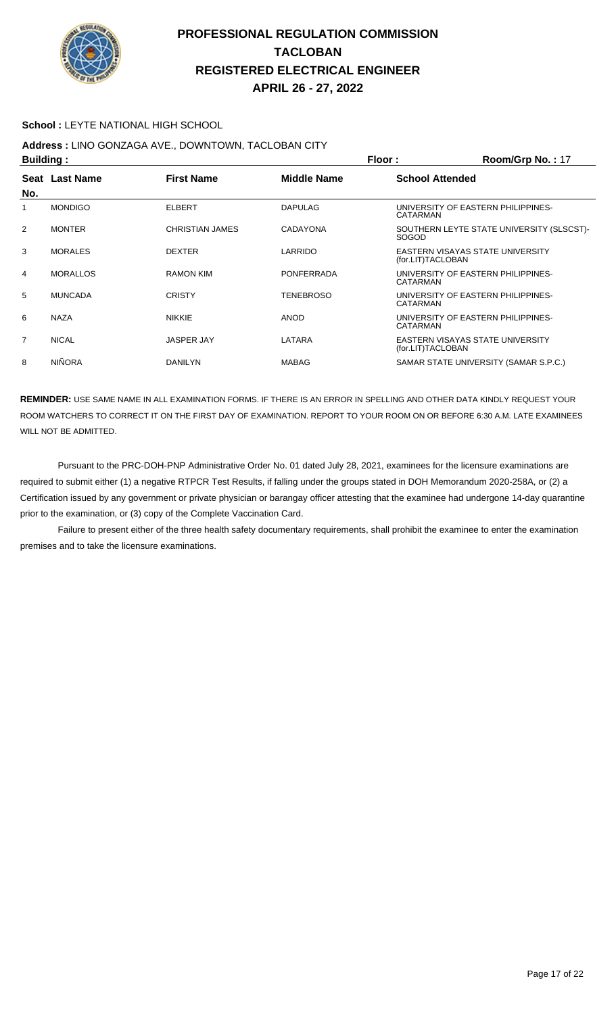

#### **School :** LEYTE NATIONAL HIGH SCHOOL

## **Address :** LINO GONZAGA AVE., DOWNTOWN, TACLOBAN CITY

| <b>Building:</b> |                 |                   | Floor:            | Room/Grp No.: 17                                          |
|------------------|-----------------|-------------------|-------------------|-----------------------------------------------------------|
| No.              | Seat Last Name  | <b>First Name</b> | Middle Name       | <b>School Attended</b>                                    |
|                  | <b>MONDIGO</b>  | <b>ELBERT</b>     | <b>DAPULAG</b>    | UNIVERSITY OF EASTERN PHILIPPINES-<br>CATARMAN            |
| 2                | <b>MONTER</b>   | CHRISTIAN JAMES   | <b>CADAYONA</b>   | SOUTHERN LEYTE STATE UNIVERSITY (SLSCST)-<br><b>SOGOD</b> |
| 3                | MORALES         | <b>DEXTER</b>     | LARRIDO           | EASTERN VISAYAS STATE UNIVERSITY<br>(for.LIT)TACLOBAN     |
| 4                | <b>MORALLOS</b> | <b>RAMON KIM</b>  | <b>PONFERRADA</b> | UNIVERSITY OF EASTERN PHILIPPINES-<br>CATARMAN            |
| 5                | <b>MUNCADA</b>  | <b>CRISTY</b>     | <b>TENEBROSO</b>  | UNIVERSITY OF EASTERN PHILIPPINES-<br>CATARMAN            |
| 6                | <b>NAZA</b>     | <b>NIKKIE</b>     | <b>ANOD</b>       | UNIVERSITY OF EASTERN PHILIPPINES-<br>CATARMAN            |
| $\overline{7}$   | <b>NICAL</b>    | <b>JASPER JAY</b> | LATARA            | EASTERN VISAYAS STATE UNIVERSITY<br>(for.LIT)TACLOBAN     |
| 8                | <b>NIÑORA</b>   | <b>DANILYN</b>    | <b>MABAG</b>      | SAMAR STATE UNIVERSITY (SAMAR S.P.C.)                     |

**REMINDER:** USE SAME NAME IN ALL EXAMINATION FORMS. IF THERE IS AN ERROR IN SPELLING AND OTHER DATA KINDLY REQUEST YOUR ROOM WATCHERS TO CORRECT IT ON THE FIRST DAY OF EXAMINATION. REPORT TO YOUR ROOM ON OR BEFORE 6:30 A.M. LATE EXAMINEES WILL NOT BE ADMITTED.

 Pursuant to the PRC-DOH-PNP Administrative Order No. 01 dated July 28, 2021, examinees for the licensure examinations are required to submit either (1) a negative RTPCR Test Results, if falling under the groups stated in DOH Memorandum 2020-258A, or (2) a Certification issued by any government or private physician or barangay officer attesting that the examinee had undergone 14-day quarantine prior to the examination, or (3) copy of the Complete Vaccination Card.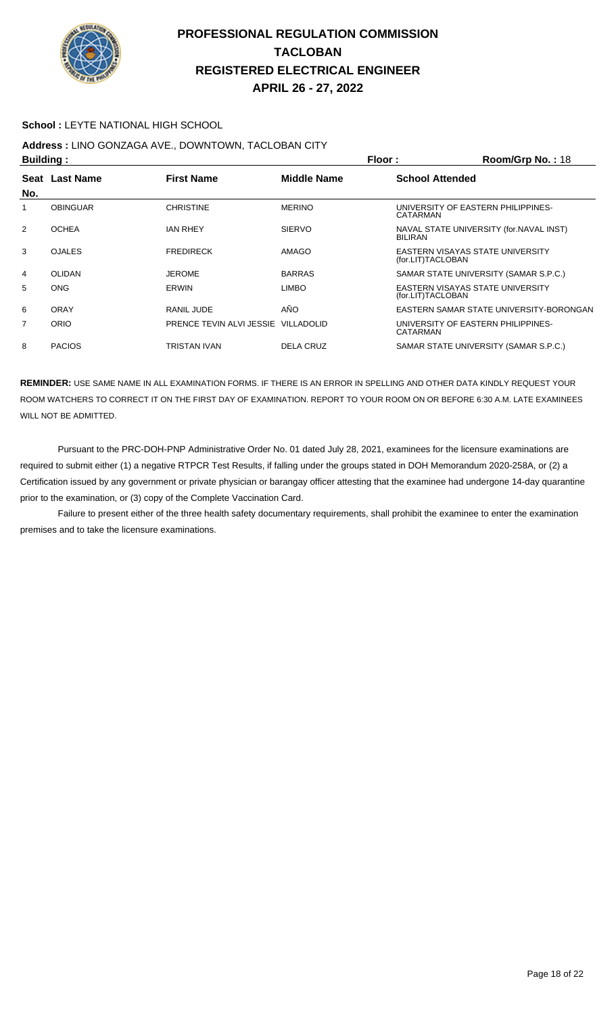

#### **School :** LEYTE NATIONAL HIGH SCHOOL

## **Address :** LINO GONZAGA AVE., DOWNTOWN, TACLOBAN CITY

| <b>Building:</b> |                                                    |                                     | Floor:<br>Room/Grp No.: 18 |  |                                                           |
|------------------|----------------------------------------------------|-------------------------------------|----------------------------|--|-----------------------------------------------------------|
|                  | Seat Last Name<br><b>First Name</b><br>Middle Name |                                     | <b>School Attended</b>     |  |                                                           |
| No.              |                                                    |                                     |                            |  |                                                           |
| 1                | <b>OBINGUAR</b>                                    | <b>CHRISTINE</b>                    | <b>MERINO</b>              |  | UNIVERSITY OF EASTERN PHILIPPINES-<br>CATARMAN            |
| 2                | <b>OCHEA</b>                                       | <b>JAN RHEY</b>                     | <b>SIERVO</b>              |  | NAVAL STATE UNIVERSITY (for.NAVAL INST)<br><b>BILIRAN</b> |
| 3                | <b>OJALES</b>                                      | <b>FREDIRECK</b>                    | AMAGO                      |  | EASTERN VISAYAS STATE UNIVERSITY<br>(for.LIT)TACLOBAN     |
| 4                | <b>OLIDAN</b>                                      | <b>JEROME</b>                       | <b>BARRAS</b>              |  | SAMAR STATE UNIVERSITY (SAMAR S.P.C.)                     |
| 5                | <b>ONG</b>                                         | <b>ERWIN</b>                        | <b>LIMBO</b>               |  | EASTERN VISAYAS STATE UNIVERSITY<br>(for.LIT)TACLOBAN     |
| 6                | ORAY                                               | RANIL JUDE                          | AÑO                        |  | EASTERN SAMAR STATE UNIVERSITY-BORONGAN                   |
| $\overline{7}$   | ORIO                                               | PRENCE TEVIN ALVI JESSIE VILLADOLID |                            |  | UNIVERSITY OF EASTERN PHILIPPINES-<br>CATARMAN            |
| 8                | <b>PACIOS</b>                                      | TRISTAN IVAN                        | <b>DELA CRUZ</b>           |  | SAMAR STATE UNIVERSITY (SAMAR S.P.C.)                     |

**REMINDER:** USE SAME NAME IN ALL EXAMINATION FORMS. IF THERE IS AN ERROR IN SPELLING AND OTHER DATA KINDLY REQUEST YOUR ROOM WATCHERS TO CORRECT IT ON THE FIRST DAY OF EXAMINATION. REPORT TO YOUR ROOM ON OR BEFORE 6:30 A.M. LATE EXAMINEES WILL NOT BE ADMITTED.

 Pursuant to the PRC-DOH-PNP Administrative Order No. 01 dated July 28, 2021, examinees for the licensure examinations are required to submit either (1) a negative RTPCR Test Results, if falling under the groups stated in DOH Memorandum 2020-258A, or (2) a Certification issued by any government or private physician or barangay officer attesting that the examinee had undergone 14-day quarantine prior to the examination, or (3) copy of the Complete Vaccination Card.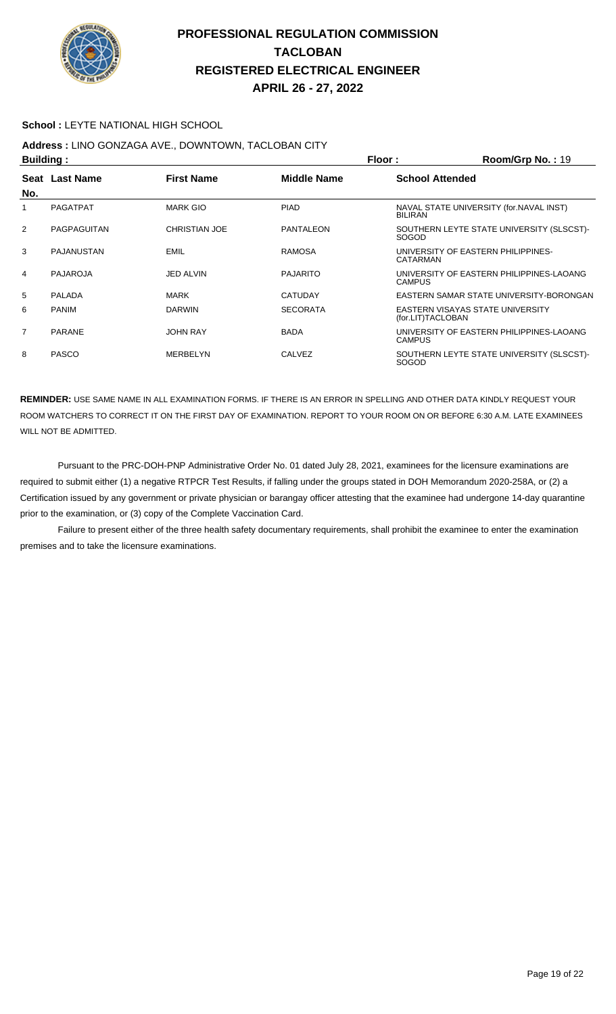

#### **School :** LEYTE NATIONAL HIGH SCHOOL

# **Address :** LINO GONZAGA AVE., DOWNTOWN, TACLOBAN CITY

|                | <b>Building:</b>  |                      |                    | Floor:                 | Room/Grp No.: 19                          |
|----------------|-------------------|----------------------|--------------------|------------------------|-------------------------------------------|
| No.            | Seat Last Name    | <b>First Name</b>    | <b>Middle Name</b> | <b>School Attended</b> |                                           |
|                | <b>PAGATPAT</b>   | <b>MARK GIO</b>      | <b>PIAD</b>        | <b>BILIRAN</b>         | NAVAL STATE UNIVERSITY (for. NAVAL INST)  |
| 2              | PAGPAGUITAN       | <b>CHRISTIAN JOE</b> | <b>PANTALEON</b>   | SOGOD                  | SOUTHERN LEYTE STATE UNIVERSITY (SLSCST)- |
| 3              | <b>PAJANUSTAN</b> | <b>EMIL</b>          | <b>RAMOSA</b>      | CATARMAN               | UNIVERSITY OF EASTERN PHILIPPINES-        |
| 4              | PAJAROJA          | JED ALVIN            | <b>PAJARITO</b>    | <b>CAMPUS</b>          | UNIVERSITY OF EASTERN PHILIPPINES-LAOANG  |
| 5              | PALADA            | <b>MARK</b>          | <b>CATUDAY</b>     |                        | EASTERN SAMAR STATE UNIVERSITY-BORONGAN   |
| 6              | <b>PANIM</b>      | <b>DARWIN</b>        | <b>SECORATA</b>    | (for.LIT)TACLOBAN      | EASTERN VISAYAS STATE UNIVERSITY          |
| $\overline{7}$ | <b>PARANE</b>     | <b>JOHN RAY</b>      | <b>BADA</b>        | <b>CAMPUS</b>          | UNIVERSITY OF EASTERN PHILIPPINES-LAOANG  |
| 8              | <b>PASCO</b>      | MERBELYN             | CALVEZ             | SOGOD                  | SOUTHERN LEYTE STATE UNIVERSITY (SLSCST)- |

**REMINDER:** USE SAME NAME IN ALL EXAMINATION FORMS. IF THERE IS AN ERROR IN SPELLING AND OTHER DATA KINDLY REQUEST YOUR ROOM WATCHERS TO CORRECT IT ON THE FIRST DAY OF EXAMINATION. REPORT TO YOUR ROOM ON OR BEFORE 6:30 A.M. LATE EXAMINEES WILL NOT BE ADMITTED.

 Pursuant to the PRC-DOH-PNP Administrative Order No. 01 dated July 28, 2021, examinees for the licensure examinations are required to submit either (1) a negative RTPCR Test Results, if falling under the groups stated in DOH Memorandum 2020-258A, or (2) a Certification issued by any government or private physician or barangay officer attesting that the examinee had undergone 14-day quarantine prior to the examination, or (3) copy of the Complete Vaccination Card.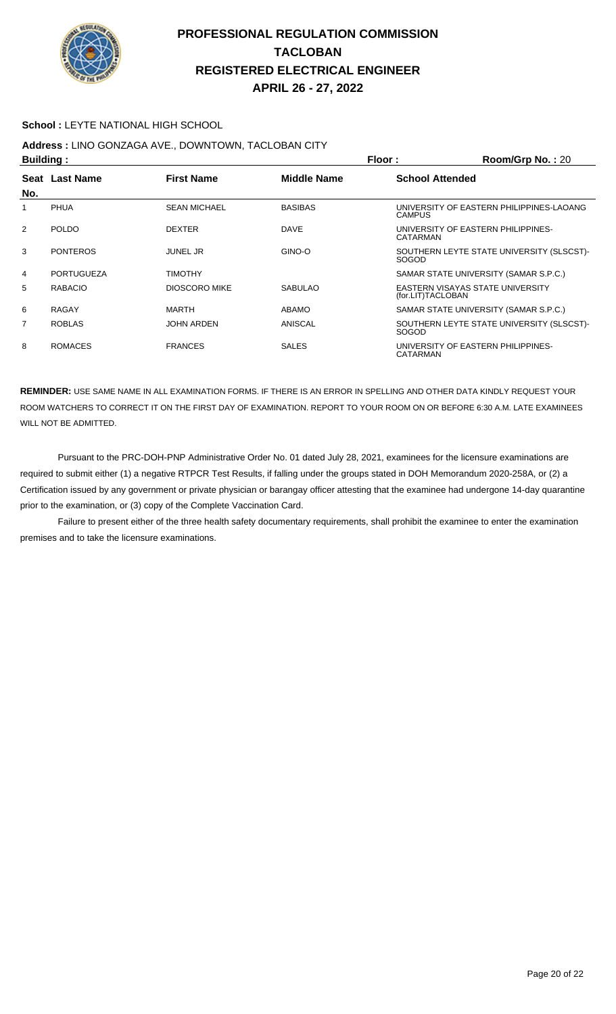

#### **School :** LEYTE NATIONAL HIGH SCHOOL

## **Address :** LINO GONZAGA AVE., DOWNTOWN, TACLOBAN CITY

|     | <b>Building:</b>  |                      |                | Floor:                 | Room/Grp No.: 20                          |
|-----|-------------------|----------------------|----------------|------------------------|-------------------------------------------|
|     | Seat Last Name    | <b>First Name</b>    | Middle Name    | <b>School Attended</b> |                                           |
| No. |                   |                      |                |                        |                                           |
|     | <b>PHUA</b>       | <b>SEAN MICHAEL</b>  | <b>BASIBAS</b> | <b>CAMPUS</b>          | UNIVERSITY OF EASTERN PHILIPPINES-LAOANG  |
| 2   | <b>POLDO</b>      | <b>DEXTER</b>        | <b>DAVE</b>    | CATARMAN               | UNIVERSITY OF EASTERN PHILIPPINES-        |
| 3   | <b>PONTEROS</b>   | <b>JUNEL JR</b>      | GINO-O         | <b>SOGOD</b>           | SOUTHERN LEYTE STATE UNIVERSITY (SLSCST)- |
| 4   | <b>PORTUGUEZA</b> | <b>TIMOTHY</b>       |                |                        | SAMAR STATE UNIVERSITY (SAMAR S.P.C.)     |
| 5   | <b>RABACIO</b>    | <b>DIOSCORO MIKE</b> | <b>SABULAO</b> | (for.LIT)TACLOBAN      | EASTERN VISAYAS STATE UNIVERSITY          |
| 6   | <b>RAGAY</b>      | MARTH                | ABAMO          |                        | SAMAR STATE UNIVERSITY (SAMAR S.P.C.)     |
| 7   | <b>ROBLAS</b>     | <b>JOHN ARDEN</b>    | ANISCAL        | SOGOD                  | SOUTHERN LEYTE STATE UNIVERSITY (SLSCST)- |
| 8   | <b>ROMACES</b>    | <b>FRANCES</b>       | <b>SALES</b>   | CATARMAN               | UNIVERSITY OF EASTERN PHILIPPINES-        |

**REMINDER:** USE SAME NAME IN ALL EXAMINATION FORMS. IF THERE IS AN ERROR IN SPELLING AND OTHER DATA KINDLY REQUEST YOUR ROOM WATCHERS TO CORRECT IT ON THE FIRST DAY OF EXAMINATION. REPORT TO YOUR ROOM ON OR BEFORE 6:30 A.M. LATE EXAMINEES WILL NOT BE ADMITTED.

 Pursuant to the PRC-DOH-PNP Administrative Order No. 01 dated July 28, 2021, examinees for the licensure examinations are required to submit either (1) a negative RTPCR Test Results, if falling under the groups stated in DOH Memorandum 2020-258A, or (2) a Certification issued by any government or private physician or barangay officer attesting that the examinee had undergone 14-day quarantine prior to the examination, or (3) copy of the Complete Vaccination Card.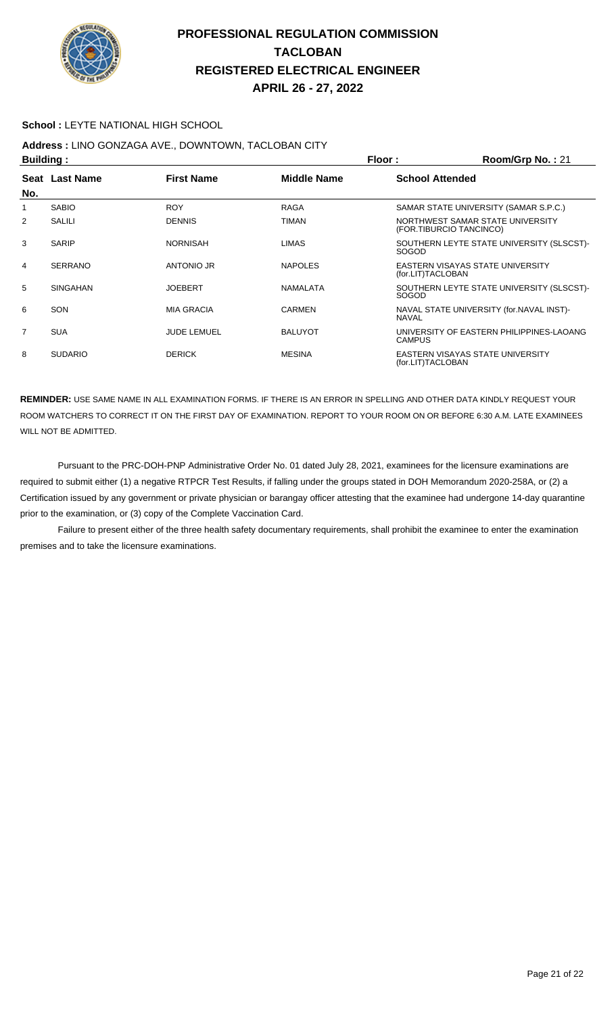

#### **School :** LEYTE NATIONAL HIGH SCHOOL

# **Address :** LINO GONZAGA AVE., DOWNTOWN, TACLOBAN CITY

|                | <b>Building:</b> |                    |                | Floor:<br>Room/Grp No.: 21 |                                                             |  |
|----------------|------------------|--------------------|----------------|----------------------------|-------------------------------------------------------------|--|
|                | Seat Last Name   | <b>First Name</b>  | Middle Name    | <b>School Attended</b>     |                                                             |  |
| No.            |                  |                    |                |                            |                                                             |  |
| 1              | <b>SABIO</b>     | <b>ROY</b>         | <b>RAGA</b>    |                            | SAMAR STATE UNIVERSITY (SAMAR S.P.C.)                       |  |
| 2              | SALILI           | <b>DENNIS</b>      | TIMAN          |                            | NORTHWEST SAMAR STATE UNIVERSITY<br>(FOR.TIBURCIO TANCINCO) |  |
| 3              | <b>SARIP</b>     | <b>NORNISAH</b>    | <b>LIMAS</b>   | <b>SOGOD</b>               | SOUTHERN LEYTE STATE UNIVERSITY (SLSCST)-                   |  |
| 4              | <b>SERRANO</b>   | ANTONIO JR         | <b>NAPOLES</b> | (for.LIT)TACLOBAN          | EASTERN VISAYAS STATE UNIVERSITY                            |  |
| 5              | <b>SINGAHAN</b>  | <b>JOEBERT</b>     | NAMALATA       | SOGOD                      | SOUTHERN LEYTE STATE UNIVERSITY (SLSCST)-                   |  |
| 6              | SON              | <b>MIA GRACIA</b>  | <b>CARMEN</b>  | <b>NAVAL</b>               | NAVAL STATE UNIVERSITY (for.NAVAL INST)-                    |  |
| $\overline{7}$ | <b>SUA</b>       | <b>JUDE LEMUEL</b> | <b>BALUYOT</b> | <b>CAMPUS</b>              | UNIVERSITY OF EASTERN PHILIPPINES-LAOANG                    |  |
| 8              | <b>SUDARIO</b>   | <b>DERICK</b>      | <b>MESINA</b>  | (for.LIT)TACLOBAN          | <b>EASTERN VISAYAS STATE UNIVERSITY</b>                     |  |

**REMINDER:** USE SAME NAME IN ALL EXAMINATION FORMS. IF THERE IS AN ERROR IN SPELLING AND OTHER DATA KINDLY REQUEST YOUR ROOM WATCHERS TO CORRECT IT ON THE FIRST DAY OF EXAMINATION. REPORT TO YOUR ROOM ON OR BEFORE 6:30 A.M. LATE EXAMINEES WILL NOT BE ADMITTED.

 Pursuant to the PRC-DOH-PNP Administrative Order No. 01 dated July 28, 2021, examinees for the licensure examinations are required to submit either (1) a negative RTPCR Test Results, if falling under the groups stated in DOH Memorandum 2020-258A, or (2) a Certification issued by any government or private physician or barangay officer attesting that the examinee had undergone 14-day quarantine prior to the examination, or (3) copy of the Complete Vaccination Card.